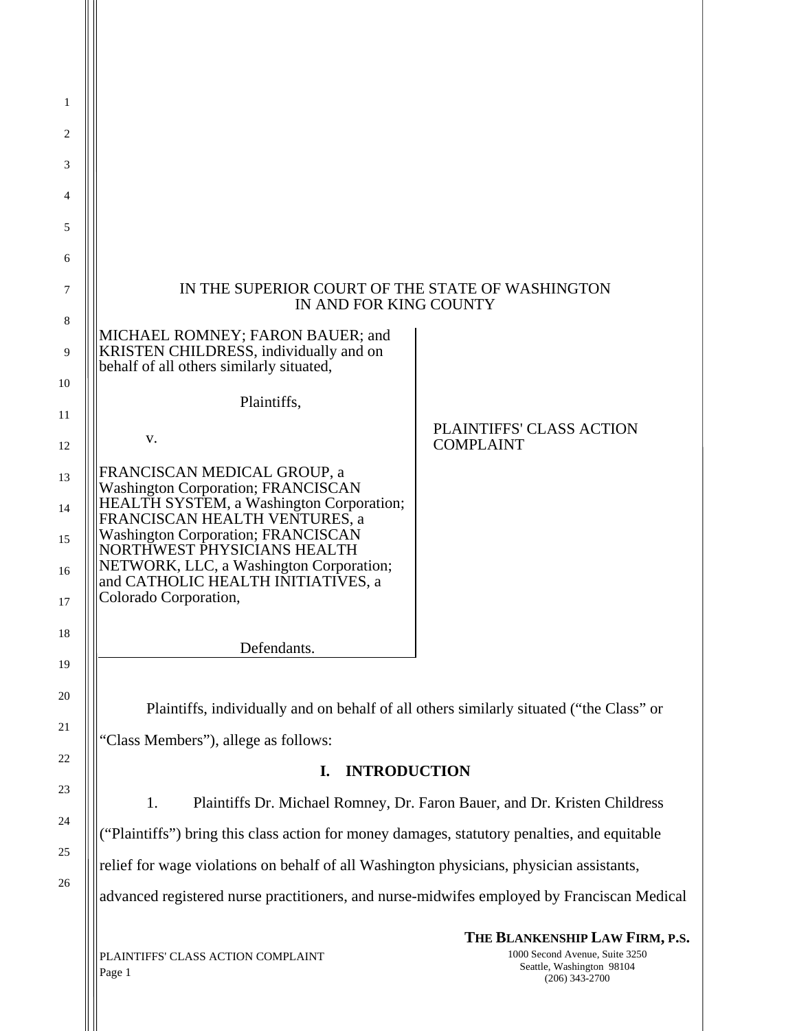| 1                                                                                                |                                                                                                                                                      |                                                                  |  |
|--------------------------------------------------------------------------------------------------|------------------------------------------------------------------------------------------------------------------------------------------------------|------------------------------------------------------------------|--|
| 2                                                                                                |                                                                                                                                                      |                                                                  |  |
| 3                                                                                                |                                                                                                                                                      |                                                                  |  |
| 4                                                                                                |                                                                                                                                                      |                                                                  |  |
| 5                                                                                                |                                                                                                                                                      |                                                                  |  |
| 6                                                                                                |                                                                                                                                                      |                                                                  |  |
| 7<br>8                                                                                           | IN THE SUPERIOR COURT OF THE STATE OF WASHINGTON<br>IN AND FOR KING COUNTY                                                                           |                                                                  |  |
| 9                                                                                                | MICHAEL ROMNEY; FARON BAUER; and<br>KRISTEN CHILDRESS, individually and on<br>behalf of all others similarly situated,                               |                                                                  |  |
| 10                                                                                               | Plaintiffs,                                                                                                                                          |                                                                  |  |
| 11<br>12                                                                                         | v.                                                                                                                                                   | PLAINTIFFS' CLASS ACTION<br><b>COMPLAINT</b>                     |  |
| 13<br>14                                                                                         | FRANCISCAN MEDICAL GROUP, a<br>Washington Corporation; FRANCISCAN<br>HEALTH SYSTEM, a Washington Corporation;                                        |                                                                  |  |
| 15<br>16                                                                                         | FRANCISCAN HEALTH VENTURES, a<br><b>Washington Corporation; FRANCISCAN</b><br>NORTHWEST PHYSICIANS HEALTH<br>NETWORK, LLC, a Washington Corporation; |                                                                  |  |
| 17                                                                                               | and CATHOLIC HEALTH INITIATIVES, a<br>Colorado Corporation,                                                                                          |                                                                  |  |
| 18                                                                                               | Defendants.                                                                                                                                          |                                                                  |  |
| 19                                                                                               |                                                                                                                                                      |                                                                  |  |
| 20                                                                                               | Plaintiffs, individually and on behalf of all others similarly situated ("the Class" or                                                              |                                                                  |  |
| 21                                                                                               | "Class Members"), allege as follows:                                                                                                                 |                                                                  |  |
| 22                                                                                               | <b>INTRODUCTION</b><br>I.                                                                                                                            |                                                                  |  |
| 23                                                                                               | 1.<br>Plaintiffs Dr. Michael Romney, Dr. Faron Bauer, and Dr. Kristen Childress                                                                      |                                                                  |  |
| 24                                                                                               | ("Plaintiffs") bring this class action for money damages, statutory penalties, and equitable                                                         |                                                                  |  |
| 25                                                                                               | relief for wage violations on behalf of all Washington physicians, physician assistants,                                                             |                                                                  |  |
| 26<br>advanced registered nurse practitioners, and nurse-midwifes employed by Franciscan Medical |                                                                                                                                                      |                                                                  |  |
|                                                                                                  | PLAINTIFFS' CLASS ACTION COMPLAINT                                                                                                                   | THE BLANKENSHIP LAW FIRM, P.S.<br>1000 Second Avenue, Suite 3250 |  |
|                                                                                                  |                                                                                                                                                      |                                                                  |  |

Page 1

1000 Second Avenue, Suite 3250 Seattle, Washington 98104 (206) 343-2700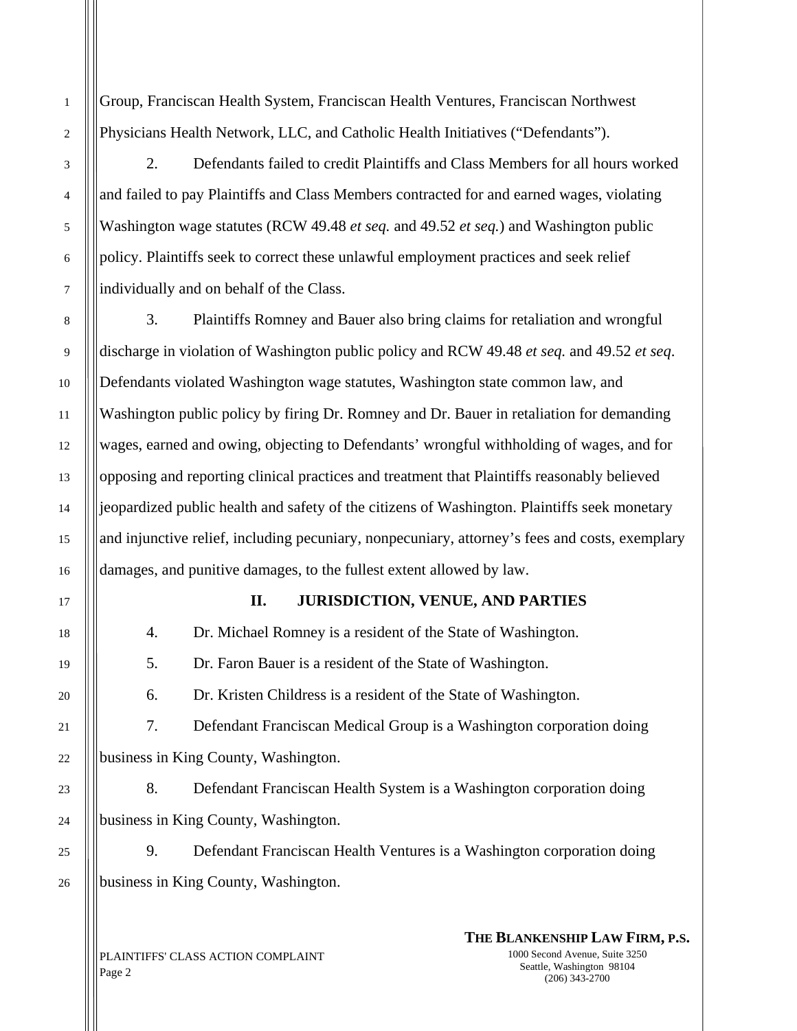Group, Franciscan Health System, Franciscan Health Ventures, Franciscan Northwest Physicians Health Network, LLC, and Catholic Health Initiatives ("Defendants").

2. Defendants failed to credit Plaintiffs and Class Members for all hours worked and failed to pay Plaintiffs and Class Members contracted for and earned wages, violating Washington wage statutes (RCW 49.48 *et seq.* and 49.52 *et seq.*) and Washington public policy. Plaintiffs seek to correct these unlawful employment practices and seek relief individually and on behalf of the Class.

 3. Plaintiffs Romney and Bauer also bring claims for retaliation and wrongful discharge in violation of Washington public policy and RCW 49.48 *et seq.* and 49.52 *et seq*. Defendants violated Washington wage statutes, Washington state common law, and Washington public policy by firing Dr. Romney and Dr. Bauer in retaliation for demanding wages, earned and owing, objecting to Defendants' wrongful withholding of wages, and for opposing and reporting clinical practices and treatment that Plaintiffs reasonably believed jeopardized public health and safety of the citizens of Washington. Plaintiffs seek monetary and injunctive relief, including pecuniary, nonpecuniary, attorney's fees and costs, exemplary damages, and punitive damages, to the fullest extent allowed by law.

### **II. JURISDICTION, VENUE, AND PARTIES**

4. Dr. Michael Romney is a resident of the State of Washington.

5. Dr. Faron Bauer is a resident of the State of Washington.

6. Dr. Kristen Childress is a resident of the State of Washington.

7. Defendant Franciscan Medical Group is a Washington corporation doing business in King County, Washington.

8. Defendant Franciscan Health System is a Washington corporation doing business in King County, Washington.

9. Defendant Franciscan Health Ventures is a Washington corporation doing business in King County, Washington.

PLAINTIFFS' CLASS ACTION COMPLAINT Page 2

**THE BLANKENSHIP LAW FIRM, P.S.** 1000 Second Avenue, Suite 3250 Seattle, Washington 98104 (206) 343-2700

1

2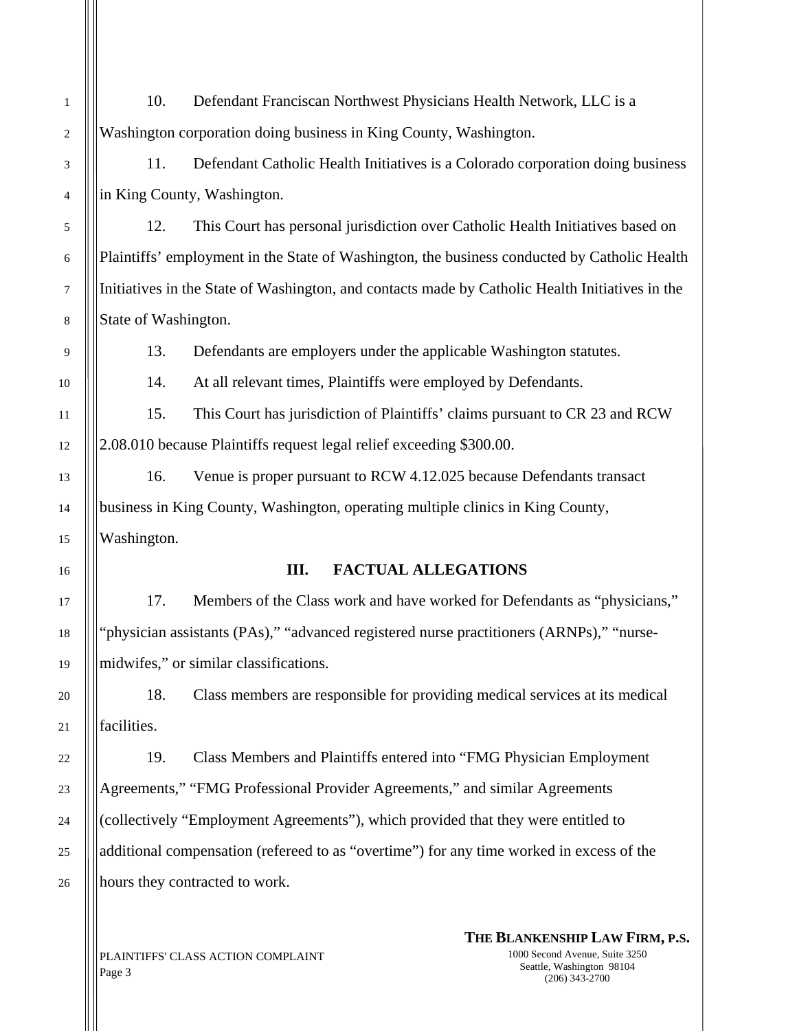10. Defendant Franciscan Northwest Physicians Health Network, LLC is a Washington corporation doing business in King County, Washington.

11. Defendant Catholic Health Initiatives is a Colorado corporation doing business in King County, Washington.

12. This Court has personal jurisdiction over Catholic Health Initiatives based on Plaintiffs' employment in the State of Washington, the business conducted by Catholic Health Initiatives in the State of Washington, and contacts made by Catholic Health Initiatives in the State of Washington.

13. Defendants are employers under the applicable Washington statutes.

14. At all relevant times, Plaintiffs were employed by Defendants.

15. This Court has jurisdiction of Plaintiffs' claims pursuant to CR 23 and RCW 2.08.010 because Plaintiffs request legal relief exceeding \$300.00.

16. Venue is proper pursuant to RCW 4.12.025 because Defendants transact business in King County, Washington, operating multiple clinics in King County, Washington.

## **III. FACTUAL ALLEGATIONS**

17. Members of the Class work and have worked for Defendants as "physicians," "physician assistants (PAs)," "advanced registered nurse practitioners (ARNPs)," "nursemidwifes," or similar classifications.

18. Class members are responsible for providing medical services at its medical facilities.

19. Class Members and Plaintiffs entered into "FMG Physician Employment Agreements," "FMG Professional Provider Agreements," and similar Agreements (collectively "Employment Agreements"), which provided that they were entitled to additional compensation (refereed to as "overtime") for any time worked in excess of the hours they contracted to work.

PLAINTIFFS' CLASS ACTION COMPLAINT Page 3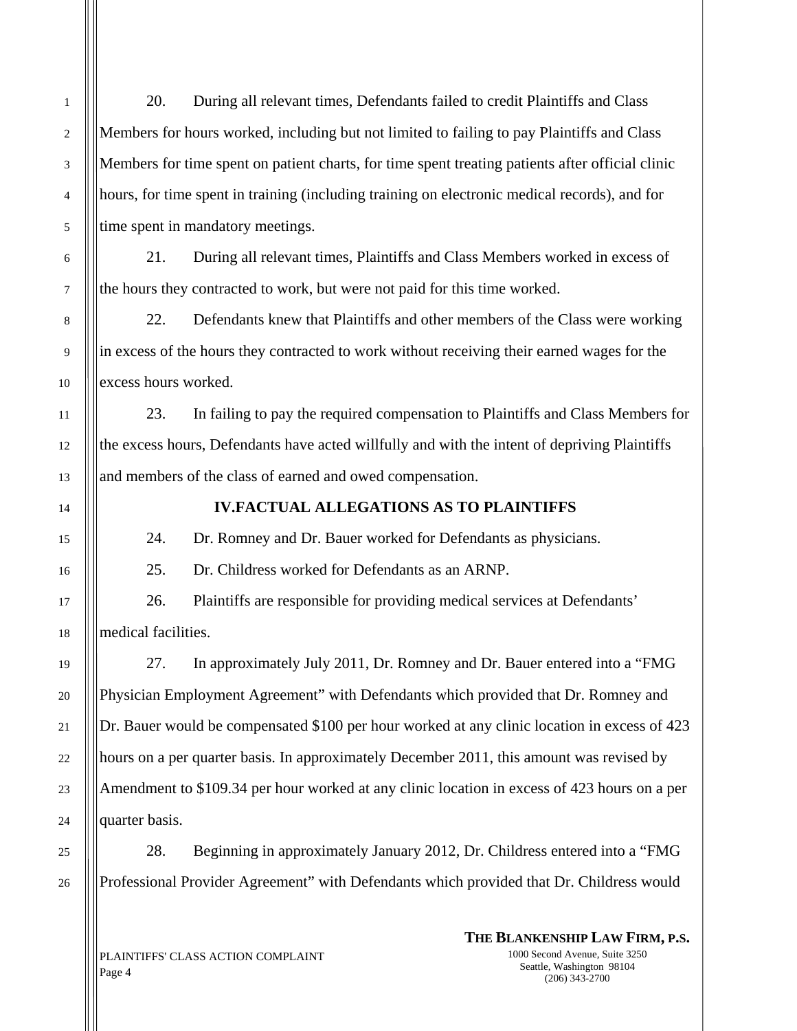20. During all relevant times, Defendants failed to credit Plaintiffs and Class Members for hours worked, including but not limited to failing to pay Plaintiffs and Class Members for time spent on patient charts, for time spent treating patients after official clinic hours, for time spent in training (including training on electronic medical records), and for time spent in mandatory meetings.

21. During all relevant times, Plaintiffs and Class Members worked in excess of the hours they contracted to work, but were not paid for this time worked.

22. Defendants knew that Plaintiffs and other members of the Class were working in excess of the hours they contracted to work without receiving their earned wages for the excess hours worked.

23. In failing to pay the required compensation to Plaintiffs and Class Members for the excess hours, Defendants have acted willfully and with the intent of depriving Plaintiffs and members of the class of earned and owed compensation.

### **IV.FACTUAL ALLEGATIONS AS TO PLAINTIFFS**

24. Dr. Romney and Dr. Bauer worked for Defendants as physicians.

25. Dr. Childress worked for Defendants as an ARNP.

26. Plaintiffs are responsible for providing medical services at Defendants' medical facilities.

27. In approximately July 2011, Dr. Romney and Dr. Bauer entered into a "FMG Physician Employment Agreement" with Defendants which provided that Dr. Romney and Dr. Bauer would be compensated \$100 per hour worked at any clinic location in excess of 423 hours on a per quarter basis. In approximately December 2011, this amount was revised by Amendment to \$109.34 per hour worked at any clinic location in excess of 423 hours on a per quarter basis.

28. Beginning in approximately January 2012, Dr. Childress entered into a "FMG Professional Provider Agreement" with Defendants which provided that Dr. Childress would

PLAINTIFFS' CLASS ACTION COMPLAINT Page 4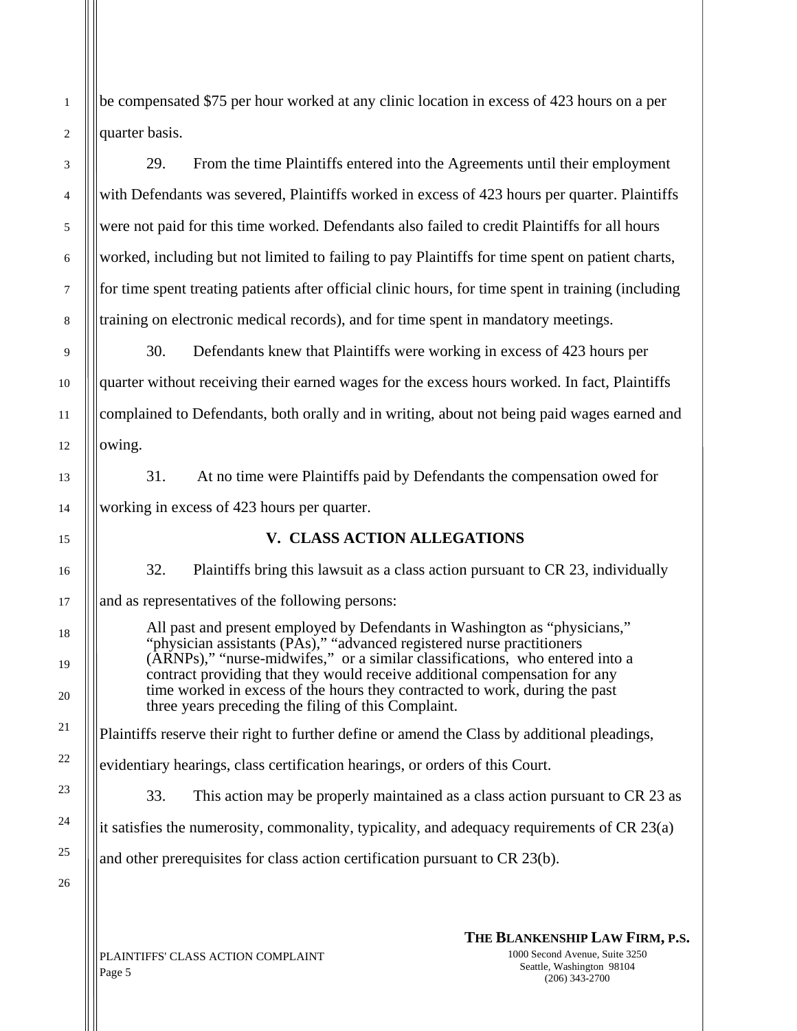be compensated \$75 per hour worked at any clinic location in excess of 423 hours on a per quarter basis.

29. From the time Plaintiffs entered into the Agreements until their employment with Defendants was severed, Plaintiffs worked in excess of 423 hours per quarter. Plaintiffs were not paid for this time worked. Defendants also failed to credit Plaintiffs for all hours worked, including but not limited to failing to pay Plaintiffs for time spent on patient charts, for time spent treating patients after official clinic hours, for time spent in training (including training on electronic medical records), and for time spent in mandatory meetings.

30. Defendants knew that Plaintiffs were working in excess of 423 hours per quarter without receiving their earned wages for the excess hours worked. In fact, Plaintiffs complained to Defendants, both orally and in writing, about not being paid wages earned and owing.

31. At no time were Plaintiffs paid by Defendants the compensation owed for working in excess of 423 hours per quarter.

# **V. CLASS ACTION ALLEGATIONS**

32. Plaintiffs bring this lawsuit as a class action pursuant to CR 23, individually

and as representatives of the following persons:

All past and present employed by Defendants in Washington as "physicians," "physician assistants (PAs)," "advanced registered nurse practitioners (ARNPs)," "nurse-midwifes," or a similar classifications, who entered into a contract providing that they would receive additional compensation for any time worked in excess of the hours they contracted to work, during the past three years preceding the filing of this Complaint.

Plaintiffs reserve their right to further define or amend the Class by additional pleadings,

evidentiary hearings, class certification hearings, or orders of this Court.

33. This action may be properly maintained as a class action pursuant to CR 23 as

it satisfies the numerosity, commonality, typicality, and adequacy requirements of CR 23(a)

and other prerequisites for class action certification pursuant to CR 23(b).

PLAINTIFFS' CLASS ACTION COMPLAINT Page 5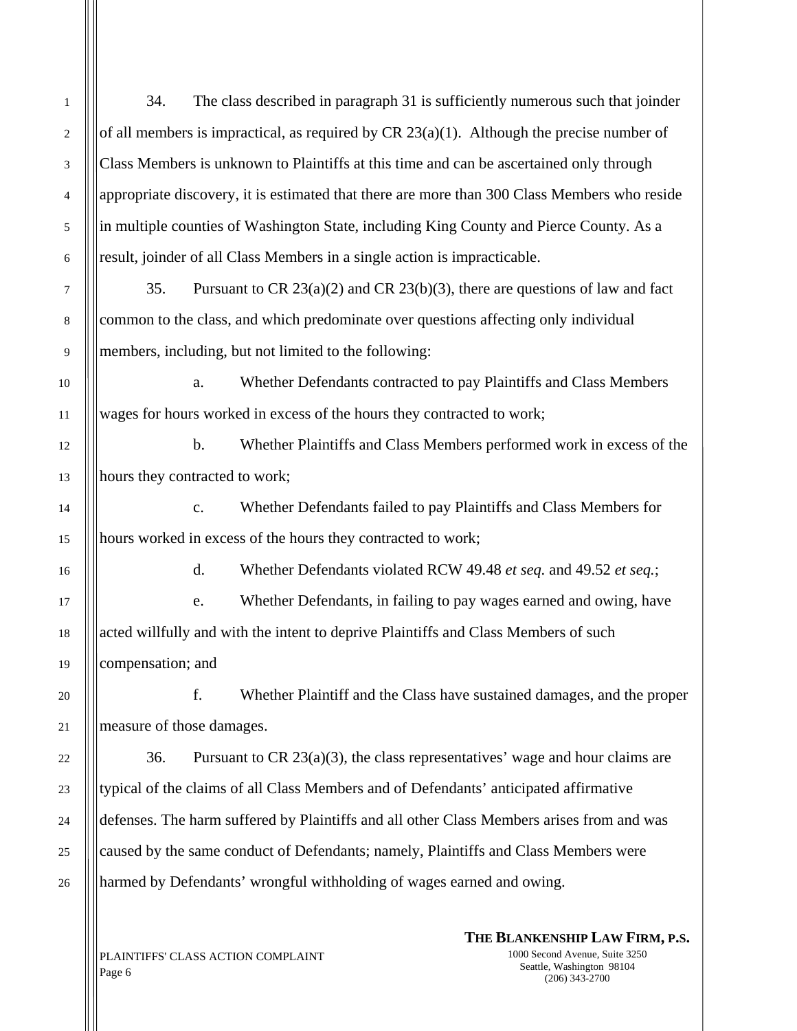34. The class described in paragraph 31 is sufficiently numerous such that joinder of all members is impractical, as required by  $CR 23(a)(1)$ . Although the precise number of Class Members is unknown to Plaintiffs at this time and can be ascertained only through appropriate discovery, it is estimated that there are more than 300 Class Members who reside in multiple counties of Washington State, including King County and Pierce County. As a result, joinder of all Class Members in a single action is impracticable.

35. Pursuant to CR  $23(a)(2)$  and CR  $23(b)(3)$ , there are questions of law and fact common to the class, and which predominate over questions affecting only individual members, including, but not limited to the following:

a. Whether Defendants contracted to pay Plaintiffs and Class Members wages for hours worked in excess of the hours they contracted to work;

b. Whether Plaintiffs and Class Members performed work in excess of the hours they contracted to work;

c. Whether Defendants failed to pay Plaintiffs and Class Members for hours worked in excess of the hours they contracted to work;

d. Whether Defendants violated RCW 49.48 *et seq.* and 49.52 *et seq.*;

e. Whether Defendants, in failing to pay wages earned and owing, have acted willfully and with the intent to deprive Plaintiffs and Class Members of such compensation; and

f. Whether Plaintiff and the Class have sustained damages, and the proper measure of those damages.

36. Pursuant to CR  $23(a)(3)$ , the class representatives' wage and hour claims are typical of the claims of all Class Members and of Defendants' anticipated affirmative defenses. The harm suffered by Plaintiffs and all other Class Members arises from and was caused by the same conduct of Defendants; namely, Plaintiffs and Class Members were harmed by Defendants' wrongful withholding of wages earned and owing.

**THE BLANKENSHIP LAW FIRM, P.S.**

PLAINTIFFS' CLASS ACTION COMPLAINT Page 6

1000 Second Avenue, Suite 3250 Seattle, Washington 98104 (206) 343-2700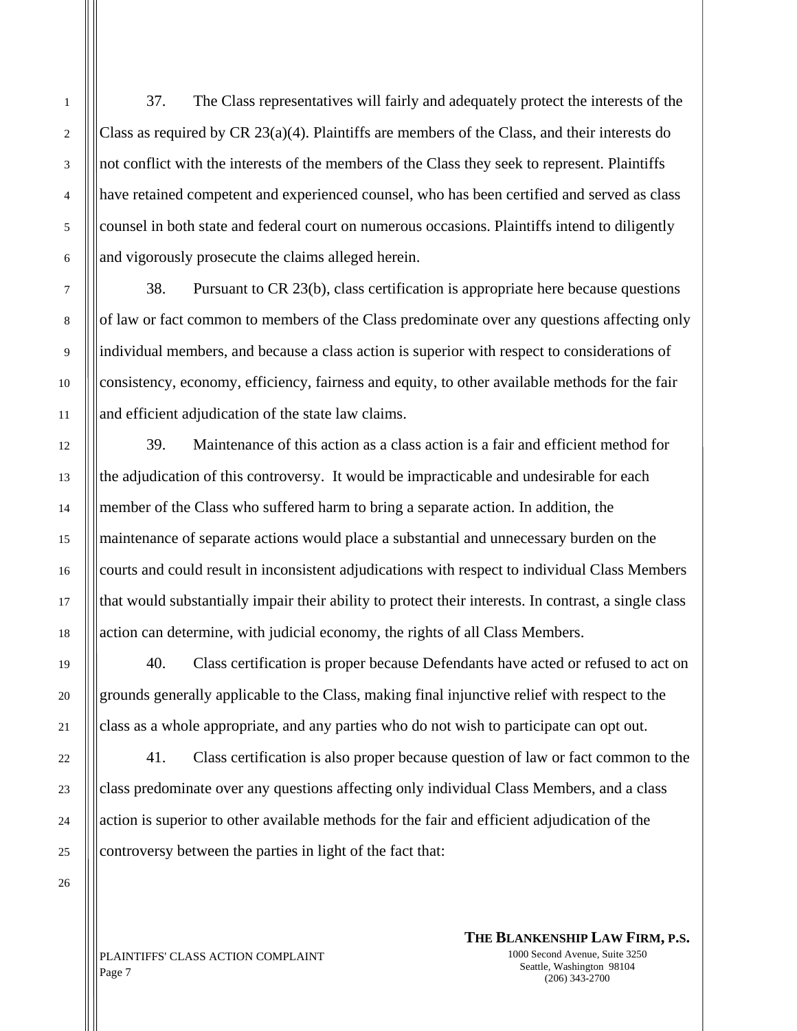37. The Class representatives will fairly and adequately protect the interests of the Class as required by CR 23(a)(4). Plaintiffs are members of the Class, and their interests do not conflict with the interests of the members of the Class they seek to represent. Plaintiffs have retained competent and experienced counsel, who has been certified and served as class counsel in both state and federal court on numerous occasions. Plaintiffs intend to diligently and vigorously prosecute the claims alleged herein.

38. Pursuant to CR 23(b), class certification is appropriate here because questions of law or fact common to members of the Class predominate over any questions affecting only individual members, and because a class action is superior with respect to considerations of consistency, economy, efficiency, fairness and equity, to other available methods for the fair and efficient adjudication of the state law claims.

39. Maintenance of this action as a class action is a fair and efficient method for the adjudication of this controversy. It would be impracticable and undesirable for each member of the Class who suffered harm to bring a separate action. In addition, the maintenance of separate actions would place a substantial and unnecessary burden on the courts and could result in inconsistent adjudications with respect to individual Class Members that would substantially impair their ability to protect their interests. In contrast, a single class action can determine, with judicial economy, the rights of all Class Members.

40. Class certification is proper because Defendants have acted or refused to act on grounds generally applicable to the Class, making final injunctive relief with respect to the class as a whole appropriate, and any parties who do not wish to participate can opt out.

41. Class certification is also proper because question of law or fact common to the class predominate over any questions affecting only individual Class Members, and a class action is superior to other available methods for the fair and efficient adjudication of the controversy between the parties in light of the fact that:

PLAINTIFFS' CLASS ACTION COMPLAINT Page 7

**THE BLANKENSHIP LAW FIRM, P.S.** 1000 Second Avenue, Suite 3250

> Seattle, Washington 98104 (206) 343-2700

1

2

3

4

5

6

7

8

9

10

11

12

13

14

15

16

17

18

19

20

21

22

23

24

25

26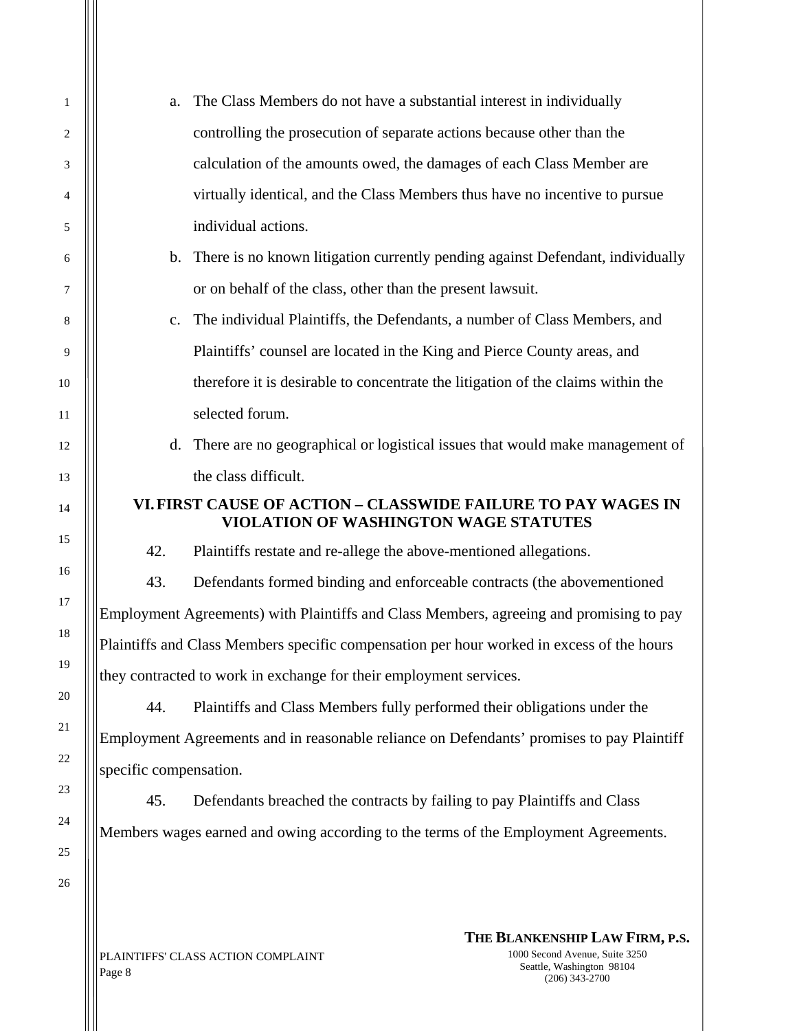| a.                                                                                        | The Class Members do not have a substantial interest in individually                                          |
|-------------------------------------------------------------------------------------------|---------------------------------------------------------------------------------------------------------------|
|                                                                                           | controlling the prosecution of separate actions because other than the                                        |
|                                                                                           | calculation of the amounts owed, the damages of each Class Member are                                         |
|                                                                                           | virtually identical, and the Class Members thus have no incentive to pursue                                   |
|                                                                                           | individual actions.                                                                                           |
|                                                                                           | b. There is no known litigation currently pending against Defendant, individually                             |
|                                                                                           | or on behalf of the class, other than the present lawsuit.                                                    |
| c.                                                                                        | The individual Plaintiffs, the Defendants, a number of Class Members, and                                     |
|                                                                                           | Plaintiffs' counsel are located in the King and Pierce County areas, and                                      |
|                                                                                           | therefore it is desirable to concentrate the litigation of the claims within the                              |
|                                                                                           | selected forum.                                                                                               |
| d.                                                                                        | There are no geographical or logistical issues that would make management of                                  |
|                                                                                           | the class difficult.                                                                                          |
|                                                                                           | VI. FIRST CAUSE OF ACTION – CLASSWIDE FAILURE TO PAY WAGES IN<br><b>VIOLATION OF WASHINGTON WAGE STATUTES</b> |
| 42.                                                                                       | Plaintiffs restate and re-allege the above-mentioned allegations.                                             |
| 43.                                                                                       | Defendants formed binding and enforceable contracts (the abovementioned                                       |
|                                                                                           | Employment Agreements) with Plaintiffs and Class Members, agreeing and promising to pay                       |
|                                                                                           | Plaintiffs and Class Members specific compensation per hour worked in excess of the hours                     |
|                                                                                           | they contracted to work in exchange for their employment services.                                            |
| 44.                                                                                       | Plaintiffs and Class Members fully performed their obligations under the                                      |
| Employment Agreements and in reasonable reliance on Defendants' promises to pay Plaintiff |                                                                                                               |
| specific compensation.                                                                    |                                                                                                               |
|                                                                                           |                                                                                                               |
| 45.                                                                                       | Defendants breached the contracts by failing to pay Plaintiffs and Class                                      |

PLAINTIFFS' CLASS ACTION COMPLAINT Page 8

1

2

3

4

5

6

7

8

9

10

11

12

13

14

15

16

17

18

19

20

21

22

23

24

25

26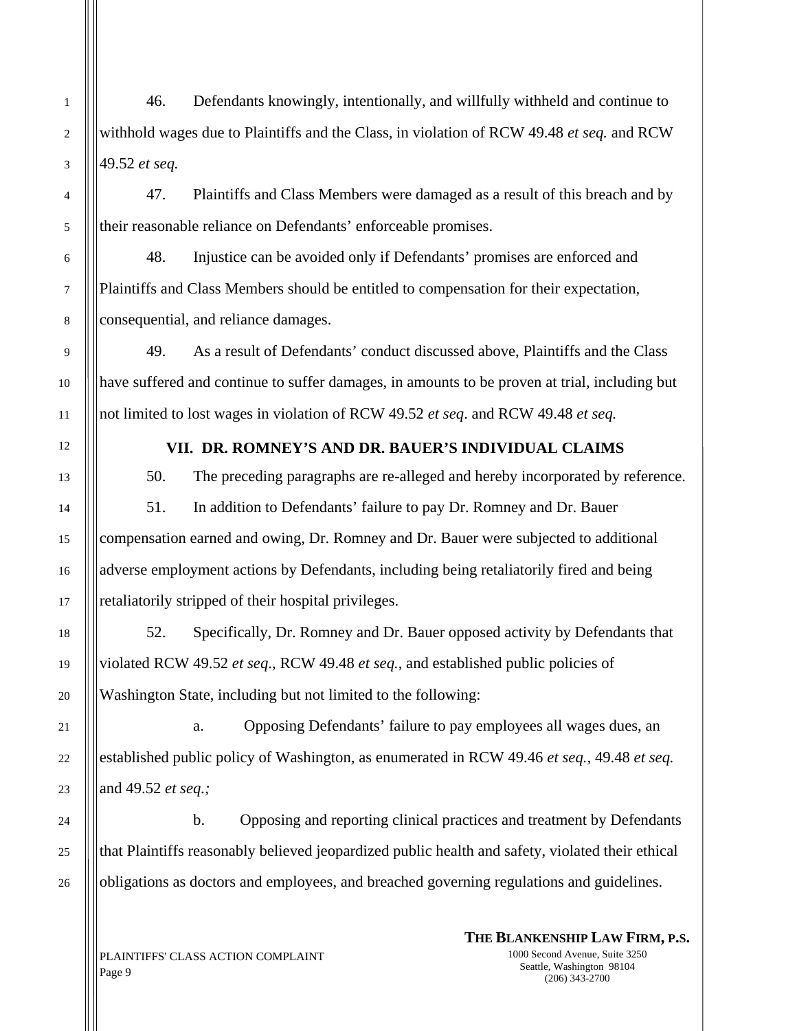46. Defendants knowingly, intentionally, and willfully withheld and continue to withhold wages due to Plaintiffs and the Class, in violation of RCW 49.48 *et seq.* and RCW 49.52 *et seq.*

47. Plaintiffs and Class Members were damaged as a result of this breach and by their reasonable reliance on Defendants' enforceable promises.

48. Injustice can be avoided only if Defendants' promises are enforced and Plaintiffs and Class Members should be entitled to compensation for their expectation, consequential, and reliance damages.

49. As a result of Defendants' conduct discussed above, Plaintiffs and the Class have suffered and continue to suffer damages, in amounts to be proven at trial, including but not limited to lost wages in violation of RCW 49.52 *et seq*. and RCW 49.48 *et seq.*

## **VII. DR. ROMNEY'S AND DR. BAUER'S INDIVIDUAL CLAIMS**

 50. The preceding paragraphs are re-alleged and hereby incorporated by reference. 51. In addition to Defendants' failure to pay Dr. Romney and Dr. Bauer compensation earned and owing, Dr. Romney and Dr. Bauer were subjected to additional adverse employment actions by Defendants, including being retaliatorily fired and being retaliatorily stripped of their hospital privileges.

 52. Specifically, Dr. Romney and Dr. Bauer opposed activity by Defendants that violated RCW 49.52 *et seq*., RCW 49.48 *et seq.*, and established public policies of Washington State, including but not limited to the following:

 a. Opposing Defendants' failure to pay employees all wages dues, an established public policy of Washington, as enumerated in RCW 49.46 *et seq.,* 49.48 *et seq.* and 49.52 *et seq.;* 

b. Opposing and reporting clinical practices and treatment by Defendants that Plaintiffs reasonably believed jeopardized public health and safety, violated their ethical obligations as doctors and employees, and breached governing regulations and guidelines.

PLAINTIFFS' CLASS ACTION COMPLAINT Page 9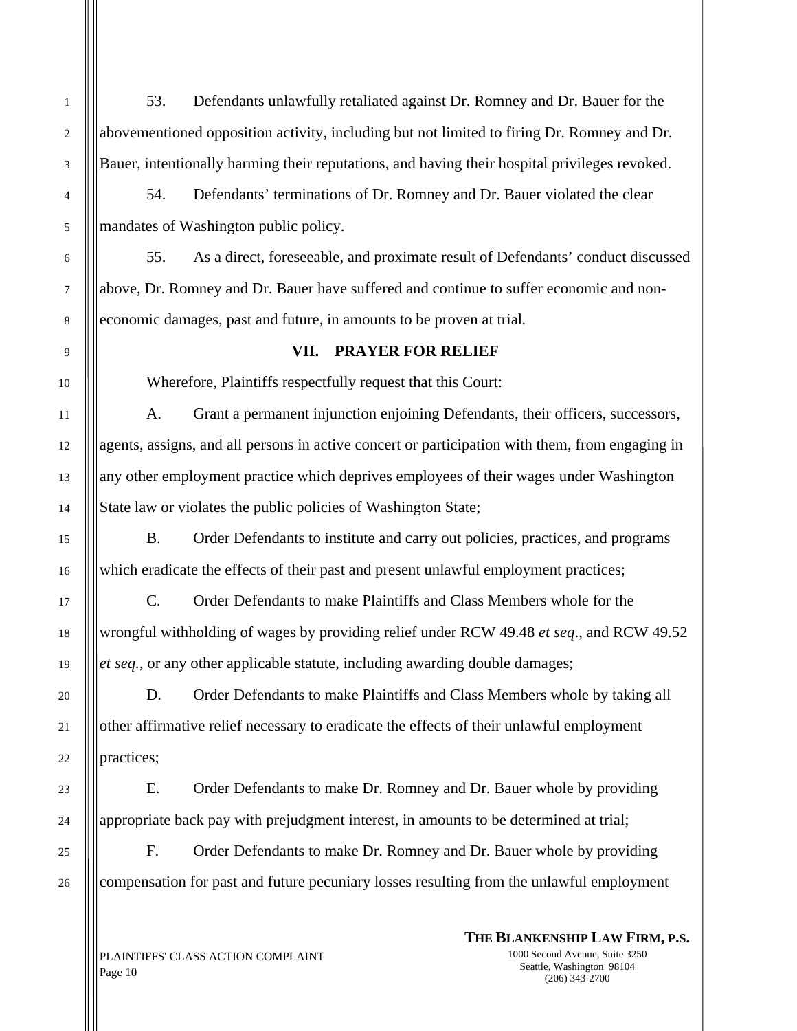53. Defendants unlawfully retaliated against Dr. Romney and Dr. Bauer for the abovementioned opposition activity, including but not limited to firing Dr. Romney and Dr. Bauer, intentionally harming their reputations, and having their hospital privileges revoked.

54. Defendants' terminations of Dr. Romney and Dr. Bauer violated the clear mandates of Washington public policy.

55. As a direct, foreseeable, and proximate result of Defendants' conduct discussed above, Dr. Romney and Dr. Bauer have suffered and continue to suffer economic and noneconomic damages, past and future, in amounts to be proven at trial*.*

### **VII. PRAYER FOR RELIEF**

Wherefore, Plaintiffs respectfully request that this Court:

A. Grant a permanent injunction enjoining Defendants, their officers, successors, agents, assigns, and all persons in active concert or participation with them, from engaging in any other employment practice which deprives employees of their wages under Washington State law or violates the public policies of Washington State;

B. Order Defendants to institute and carry out policies, practices, and programs which eradicate the effects of their past and present unlawful employment practices;

C. Order Defendants to make Plaintiffs and Class Members whole for the wrongful withholding of wages by providing relief under RCW 49.48 *et seq*., and RCW 49.52 *et seq.*, or any other applicable statute, including awarding double damages;

D. Order Defendants to make Plaintiffs and Class Members whole by taking all other affirmative relief necessary to eradicate the effects of their unlawful employment practices;

E. Order Defendants to make Dr. Romney and Dr. Bauer whole by providing appropriate back pay with prejudgment interest, in amounts to be determined at trial;

F. Order Defendants to make Dr. Romney and Dr. Bauer whole by providing compensation for past and future pecuniary losses resulting from the unlawful employment

## **THE BLANKENSHIP LAW FIRM, P.S.**

PLAINTIFFS' CLASS ACTION COMPLAINT Page 10

1000 Second Avenue, Suite 3250 Seattle, Washington 98104 (206) 343-2700